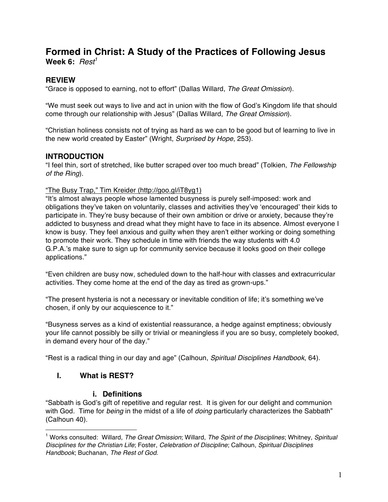# **Formed in Christ: A Study of the Practices of Following Jesus** Week 6:  $Rest<sup>1</sup>$

## **REVIEW**

"Grace is opposed to earning, not to effort" (Dallas Willard, *The Great Omission*).

"We must seek out ways to live and act in union with the flow of God's Kingdom life that should come through our relationship with Jesus" (Dallas Willard, *The Great Omission*).

"Christian holiness consists not of trying as hard as we can to be good but of learning to live in the new world created by Easter" (Wright, *Surprised by Hope*, 253).

## **INTRODUCTION**

"I feel thin, sort of stretched, like butter scraped over too much bread" (Tolkien, *The Fellowship of the Ring*).

"The Busy Trap," Tim Kreider (http://goo.gl/iT8yg1)

"It's almost always people whose lamented busyness is purely self-imposed: work and obligations they've taken on voluntarily, classes and activities they've 'encouraged' their kids to participate in. They're busy because of their own ambition or drive or anxiety, because they're addicted to busyness and dread what they might have to face in its absence. Almost everyone I know is busy. They feel anxious and guilty when they aren't either working or doing something to promote their work. They schedule in time with friends the way students with 4.0 G.P.A.'s make sure to sign up for community service because it looks good on their college applications."

"Even children are busy now, scheduled down to the half-hour with classes and extracurricular activities. They come home at the end of the day as tired as grown-ups."

"The present hysteria is not a necessary or inevitable condition of life; it's something we've chosen, if only by our acquiescence to it."

"Busyness serves as a kind of existential reassurance, a hedge against emptiness; obviously your life cannot possibly be silly or trivial or meaningless if you are so busy, completely booked, in demand every hour of the day."

"Rest is a radical thing in our day and age" (Calhoun, *Spiritual Disciplines Handbook*, 64).

## **I. What is REST?**

 $\overline{a}$ 

#### **i. Definitions**

"Sabbath is God's gift of repetitive and regular rest. It is given for our delight and communion with God. Time for *being* in the midst of a life of *doing* particularly characterizes the Sabbath" (Calhoun 40).

<sup>1</sup> Works consulted: Willard, *The Great Omission*; Willard, *The Spirit of the Disciplines*; Whitney, *Spiritual Disciplines for the Christian Life*; Foster, *Celebration of Discipline*; Calhoun, *Spiritual Disciplines Handbook*; Buchanan, *The Rest of God*.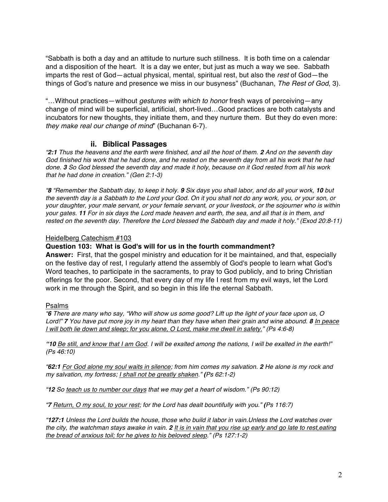"Sabbath is both a day and an attitude to nurture such stillness. It is both time on a calendar and a disposition of the heart. It is a day we enter, but just as much a way we see. Sabbath imparts the rest of God—actual physical, mental, spiritual rest, but also the *rest* of God—the things of God's nature and presence we miss in our busyness" (Buchanan, *The Rest of God*, 3).

"…Without practices—without *gestures with which to honor* fresh ways of perceiving—any change of mind will be superficial, artificial, short-lived…Good practices are both catalysts and incubators for new thoughts, they initiate them, and they nurture them. But they do even more: *they make real our change of mind*" (Buchanan 6-7).

#### **ii. Biblical Passages**

*"2:1 Thus the heavens and the earth were finished, and all the host of them. 2 And on the seventh day God finished his work that he had done, and he rested on the seventh day from all his work that he had done. 3 So God blessed the seventh day and made it holy, because on it God rested from all his work that he had done in creation." (Gen 2:1-3)*

*"8 "Remember the Sabbath day, to keep it holy. 9 Six days you shall labor, and do all your work, 10 but the seventh day is a Sabbath to the Lord your God. On it you shall not do any work, you, or your son, or your daughter, your male servant, or your female servant, or your livestock, or the sojourner who is within your gates. 11 For in six days the Lord made heaven and earth, the sea, and all that is in them, and rested on the seventh day. Therefore the Lord blessed the Sabbath day and made it holy." (Exod 20:8-11)*

#### Heidelberg Catechism #103

#### **Question 103: What is God's will for us in the fourth commandment?**

**Answer:** First, that the gospel ministry and education for it be maintained, and that, especially on the festive day of rest, I regularly attend the assembly of God's people to learn what God's Word teaches, to participate in the sacraments, to pray to God publicly, and to bring Christian offerings for the poor. Second, that every day of my life I rest from my evil ways, let the Lord work in me through the Spirit, and so begin in this life the eternal Sabbath.

#### Psalms

*"6 There are many who say, "Who will show us some good? Lift up the light of your face upon us, O Lord!" 7 You have put more joy in my heart than they have when their grain and wine abound. 8 In peace I will both lie down and sleep; for you alone, O Lord, make me dwell in safety." (Ps 4:6-8)*

*"10 Be still, and know that I am God. I will be exalted among the nations, I will be exalted in the earth!" (Ps 46:10)*

*"62:1 For God alone my soul waits in silence; from him comes my salvation. 2 He alone is my rock and my salvation, my fortress; I shall not be greatly shaken." (Ps 62:1-2)*

*"12 So teach us to number our days that we may get a heart of wisdom." (Ps 90:12)*

*"7 Return, O my soul, to your rest; for the Lord has dealt bountifully with you." (Ps 116:7)*

*"127:1 Unless the Lord builds the house, those who build it labor in vain.Unless the Lord watches over the city, the watchman stays awake in vain. 2 It is in vain that you rise up early and go late to rest,eating the bread of anxious toil; for he gives to his beloved sleep." (Ps 127:1-2)*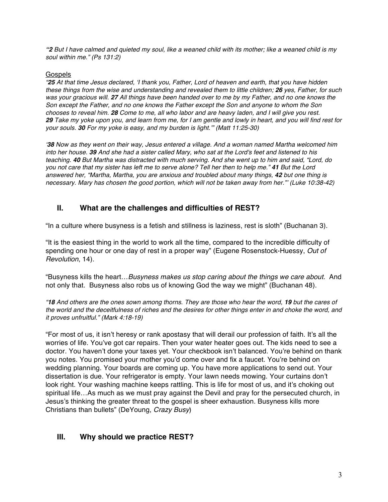*"2 But I have calmed and quieted my soul, like a weaned child with its mother; like a weaned child is my soul within me." (Ps 131:2)*

#### **Gospels**

*"25 At that time Jesus declared, 'I thank you, Father, Lord of heaven and earth, that you have hidden these things from the wise and understanding and revealed them to little children; 26 yes, Father, for such was your gracious will. 27 All things have been handed over to me by my Father, and no one knows the Son except the Father, and no one knows the Father except the Son and anyone to whom the Son chooses to reveal him. 28 Come to me, all who labor and are heavy laden, and I will give you rest. 29 Take my yoke upon you, and learn from me, for I am gentle and lowly in heart, and you will find rest for your souls. 30 For my yoke is easy, and my burden is light.'" (Matt 11:25-30)*

*'38 Now as they went on their way, Jesus entered a village. And a woman named Martha welcomed him into her house. 39 And she had a sister called Mary, who sat at the Lord's feet and listened to his teaching. 40 But Martha was distracted with much serving. And she went up to him and said, "Lord, do you not care that my sister has left me to serve alone? Tell her then to help me." 41 But the Lord answered her, "Martha, Martha, you are anxious and troubled about many things, 42 but one thing is necessary. Mary has chosen the good portion, which will not be taken away from her."' (Luke 10:38-42)*

## **II. What are the challenges and difficulties of REST?**

"In a culture where busyness is a fetish and stillness is laziness, rest is sloth" (Buchanan 3).

"It is the easiest thing in the world to work all the time, compared to the incredible difficulty of spending one hour or one day of rest in a proper way" (Eugene Rosenstock-Huessy, *Out of Revolution*, 14).

"Busyness kills the heart…*Busyness makes us stop caring about the things we care about.* And not only that. Busyness also robs us of knowing God the way we might" (Buchanan 48).

*"18 And others are the ones sown among thorns. They are those who hear the word, 19 but the cares of the world and the deceitfulness of riches and the desires for other things enter in and choke the word, and it proves unfruitful." (Mark 4:18-19)*

"For most of us, it isn't heresy or rank apostasy that will derail our profession of faith. It's all the worries of life. You've got car repairs. Then your water heater goes out. The kids need to see a doctor. You haven't done your taxes yet. Your checkbook isn't balanced. You're behind on thank you notes. You promised your mother you'd come over and fix a faucet. You're behind on wedding planning. Your boards are coming up. You have more applications to send out. Your dissertation is due. Your refrigerator is empty. Your lawn needs mowing. Your curtains don't look right. Your washing machine keeps rattling. This is life for most of us, and it's choking out spiritual life…As much as we must pray against the Devil and pray for the persecuted church, in Jesus's thinking the greater threat to the gospel is sheer exhaustion. Busyness kills more Christians than bullets" (DeYoung, *Crazy Busy*)

## **III. Why should we practice REST?**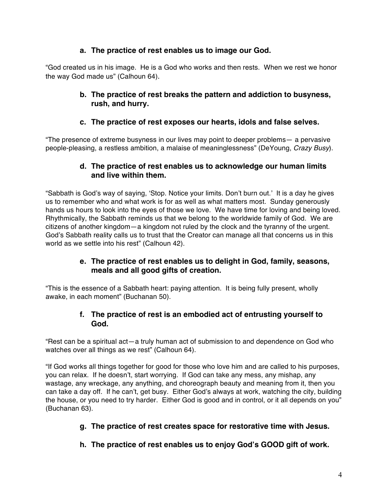## **a. The practice of rest enables us to image our God.**

"God created us in his image. He is a God who works and then rests. When we rest we honor the way God made us" (Calhoun 64).

## **b. The practice of rest breaks the pattern and addiction to busyness, rush, and hurry.**

## **c. The practice of rest exposes our hearts, idols and false selves.**

"The presence of extreme busyness in our lives may point to deeper problems— a pervasive people-pleasing, a restless ambition, a malaise of meaninglessness" (DeYoung, *Crazy Busy*).

## **d. The practice of rest enables us to acknowledge our human limits and live within them.**

"Sabbath is God's way of saying, 'Stop. Notice your limits. Don't burn out.' It is a day he gives us to remember who and what work is for as well as what matters most. Sunday generously hands us hours to look into the eyes of those we love. We have time for loving and being loved. Rhythmically, the Sabbath reminds us that we belong to the worldwide family of God. We are citizens of another kingdom—a kingdom not ruled by the clock and the tyranny of the urgent. God's Sabbath reality calls us to trust that the Creator can manage all that concerns us in this world as we settle into his rest" (Calhoun 42).

## **e. The practice of rest enables us to delight in God, family, seasons, meals and all good gifts of creation.**

"This is the essence of a Sabbath heart: paying attention. It is being fully present, wholly awake, in each moment" (Buchanan 50).

## **f. The practice of rest is an embodied act of entrusting yourself to God.**

"Rest can be a spiritual act—a truly human act of submission to and dependence on God who watches over all things as we rest" (Calhoun 64).

"If God works all things together for good for those who love him and are called to his purposes, you can relax. If he doesn't, start worrying. If God can take any mess, any mishap, any wastage, any wreckage, any anything, and choreograph beauty and meaning from it, then you can take a day off. If he can't, get busy. Either God's always at work, watching the city, building the house, or you need to try harder. Either God is good and in control, or it all depends on you" (Buchanan 63).

## **g. The practice of rest creates space for restorative time with Jesus.**

**h. The practice of rest enables us to enjoy God's GOOD gift of work.**